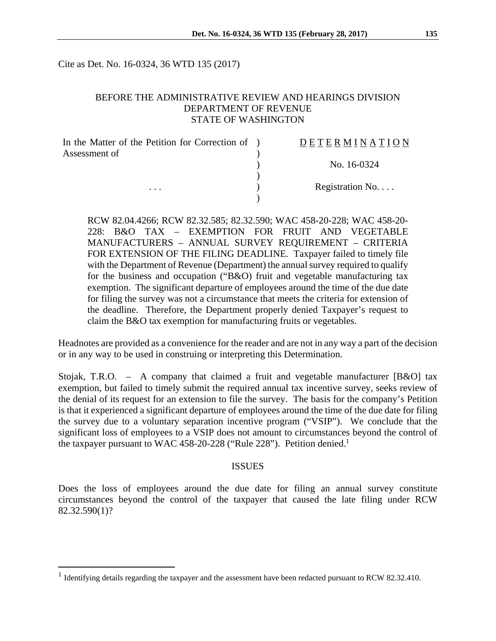Cite as Det. No. 16-0324, 36 WTD 135 (2017)

#### BEFORE THE ADMINISTRATIVE REVIEW AND HEARINGS DIVISION DEPARTMENT OF REVENUE STATE OF WASHINGTON

| In the Matter of the Petition for Correction of ) | DETERMINATION   |
|---------------------------------------------------|-----------------|
| Assessment of<br>$\cdots$                         |                 |
|                                                   | No. 16-0324     |
|                                                   |                 |
|                                                   | Registration No |
|                                                   |                 |

RCW 82.04.4266; RCW 82.32.585; 82.32.590; WAC 458-20-228; WAC 458-20- 228: B&O TAX – EXEMPTION FOR FRUIT AND VEGETABLE MANUFACTURERS – ANNUAL SURVEY REQUIREMENT – CRITERIA FOR EXTENSION OF THE FILING DEADLINE. Taxpayer failed to timely file with the Department of Revenue (Department) the annual survey required to qualify for the business and occupation ("B&O) fruit and vegetable manufacturing tax exemption. The significant departure of employees around the time of the due date for filing the survey was not a circumstance that meets the criteria for extension of the deadline. Therefore, the Department properly denied Taxpayer's request to claim the B&O tax exemption for manufacturing fruits or vegetables.

Headnotes are provided as a convenience for the reader and are not in any way a part of the decision or in any way to be used in construing or interpreting this Determination.

Stojak, T.R.O. – A company that claimed a fruit and vegetable manufacturer [B&O] tax exemption, but failed to timely submit the required annual tax incentive survey, seeks review of the denial of its request for an extension to file the survey. The basis for the company's Petition is that it experienced a significant departure of employees around the time of the due date for filing the survey due to a voluntary separation incentive program ("VSIP"). We conclude that the significant loss of employees to a VSIP does not amount to circumstances beyond the control of the taxpayer pursuant to WAC 458-20-228 ("Rule 228"). Petition denied.<sup>1</sup>

#### ISSUES

Does the loss of employees around the due date for filing an annual survey constitute circumstances beyond the control of the taxpayer that caused the late filing under RCW 82.32.590(1)?

 $\overline{a}$ 

<sup>&</sup>lt;sup>1</sup> Identifying details regarding the taxpayer and the assessment have been redacted pursuant to RCW 82.32.410.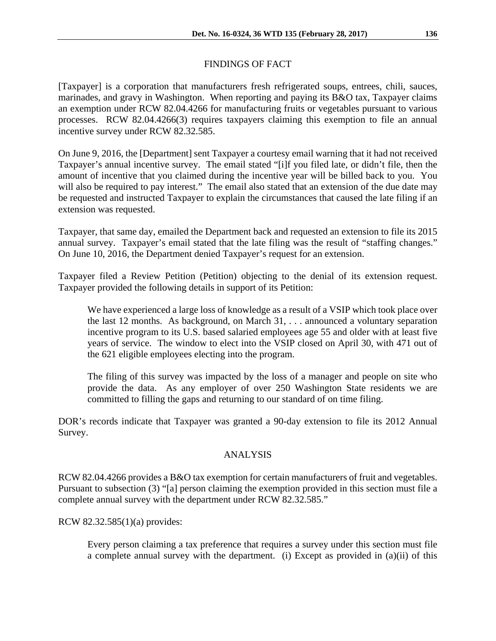# FINDINGS OF FACT

[Taxpayer] is a corporation that manufacturers fresh refrigerated soups, entrees, chili, sauces, marinades, and gravy in Washington. When reporting and paying its B&O tax, Taxpayer claims an exemption under RCW 82.04.4266 for manufacturing fruits or vegetables pursuant to various processes. RCW 82.04.4266(3) requires taxpayers claiming this exemption to file an annual incentive survey under RCW 82.32.585.

On June 9, 2016, the [Department] sent Taxpayer a courtesy email warning that it had not received Taxpayer's annual incentive survey. The email stated "[i]f you filed late, or didn't file, then the amount of incentive that you claimed during the incentive year will be billed back to you. You will also be required to pay interest." The email also stated that an extension of the due date may be requested and instructed Taxpayer to explain the circumstances that caused the late filing if an extension was requested.

Taxpayer, that same day, emailed the Department back and requested an extension to file its 2015 annual survey. Taxpayer's email stated that the late filing was the result of "staffing changes." On June 10, 2016, the Department denied Taxpayer's request for an extension.

Taxpayer filed a Review Petition (Petition) objecting to the denial of its extension request. Taxpayer provided the following details in support of its Petition:

We have experienced a large loss of knowledge as a result of a VSIP which took place over the last 12 months. As background, on March 31, . . . announced a voluntary separation incentive program to its U.S. based salaried employees age 55 and older with at least five years of service. The window to elect into the VSIP closed on April 30, with 471 out of the 621 eligible employees electing into the program.

The filing of this survey was impacted by the loss of a manager and people on site who provide the data. As any employer of over 250 Washington State residents we are committed to filling the gaps and returning to our standard of on time filing.

DOR's records indicate that Taxpayer was granted a 90-day extension to file its 2012 Annual Survey.

## ANALYSIS

RCW 82.04.4266 provides a B&O tax exemption for certain manufacturers of fruit and vegetables. Pursuant to subsection (3) "[a] person claiming the exemption provided in this section must file a complete annual survey with the department under RCW 82.32.585."

RCW 82.32.585(1)(a) provides:

Every person claiming a tax preference that requires a survey under this section must file a complete annual survey with the department. (i) Except as provided in (a)(ii) of this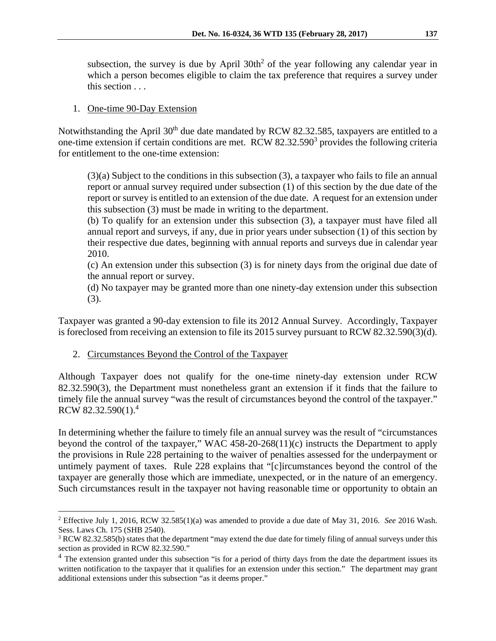subsection, the survey is due by April  $30th^2$  of the year following any calendar year in which a person becomes eligible to claim the tax preference that requires a survey under this section . . .

#### 1. One-time 90-Day Extension

Notwithstanding the April 30<sup>th</sup> due date mandated by RCW 82.32.585, taxpayers are entitled to a one-time extension if certain conditions are met. RCW 82.32.590<sup>3</sup> provides the following criteria for entitlement to the one-time extension:

(3)(a) Subject to the conditions in this subsection (3), a taxpayer who fails to file an annual report or annual survey required under subsection (1) of this section by the due date of the report or survey is entitled to an extension of the due date. A request for an extension under this subsection (3) must be made in writing to the department.

(b) To qualify for an extension under this subsection (3), a taxpayer must have filed all annual report and surveys, if any, due in prior years under subsection (1) of this section by their respective due dates, beginning with annual reports and surveys due in calendar year 2010.

(c) An extension under this subsection (3) is for ninety days from the original due date of the annual report or survey.

(d) No taxpayer may be granted more than one ninety-day extension under this subsection (3).

Taxpayer was granted a 90-day extension to file its 2012 Annual Survey. Accordingly, Taxpayer is foreclosed from receiving an extension to file its 2015 survey pursuant to RCW 82.32.590(3)(d).

## 2. Circumstances Beyond the Control of the Taxpayer

 $\overline{a}$ 

Although Taxpayer does not qualify for the one-time ninety-day extension under RCW 82.32.590(3), the Department must nonetheless grant an extension if it finds that the failure to timely file the annual survey "was the result of circumstances beyond the control of the taxpayer." RCW 82.32.590(1).4

In determining whether the failure to timely file an annual survey was the result of "circumstances beyond the control of the taxpayer," WAC 458-20-268(11)(c) instructs the Department to apply the provisions in Rule 228 pertaining to the waiver of penalties assessed for the underpayment or untimely payment of taxes. Rule 228 explains that "[c]ircumstances beyond the control of the taxpayer are generally those which are immediate, unexpected, or in the nature of an emergency. Such circumstances result in the taxpayer not having reasonable time or opportunity to obtain an

<sup>2</sup> Effective July 1, 2016, RCW 32.585(1)(a) was amended to provide a due date of May 31, 2016. *See* 2016 Wash. Sess. Laws Ch. 175 (SHB 2540).

 $3$  RCW 82.32.585(b) states that the department "may extend the due date for timely filing of annual surveys under this section as provided in RCW 82.32.590."

<sup>&</sup>lt;sup>4</sup> The extension granted under this subsection "is for a period of thirty days from the date the department issues its written notification to the taxpayer that it qualifies for an extension under this section." The department may grant additional extensions under this subsection "as it deems proper."